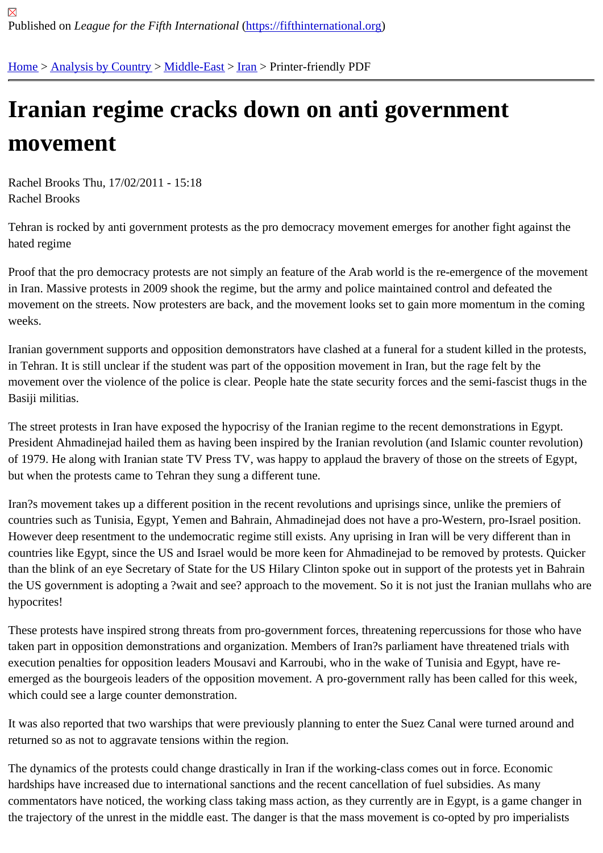## [Iran](https://fifthinternational.org/)[ian regime](https://fifthinternational.org/category/1) [crack](https://fifthinternational.org/category/1/178)[s d](https://fifthinternational.org/category/1/178/182)own on anti government movement

Rachel Brooks Thu, 17/02/2011 - 15:18 Rachel Brooks

Tehran is rocked by anti government protests as the pro democracy movement emerges for another fight against t hated regime

Proof that the pro democracy protests are not simply an feature of the Arab world is the re-emergence of the move in Iran. Massive protests in 2009 shook the regime, but the army and police maintained control and defeated the movement on the streets. Now protesters are back, and the movement looks set to gain more momentum in the comin weeks.

Iranian government supports and opposition demonstrators have clashed at a funeral for a student killed in the pro in Tehran. It is still unclear if the student was part of the opposition movement in Iran, but the rage felt by the movement over the violence of the police is clear. People hate the state security forces and the semi-fascist thugs Basiji militias.

The street protests in Iran have exposed the hypocrisy of the Iranian regime to the recent demonstrations in Egypt. President Ahmadinejad hailed them as having been inspired by the Iranian revolution (and Islamic counter revoluti of 1979. He along with Iranian state TV Press TV, was happy to applaud the bravery of those on the streets of Egy but when the protests came to Tehran they sung a different tune.

Iran?s movement takes up a different position in the recent revolutions and uprisings since, unlike the premiers of countries such as Tunisia, Egypt, Yemen and Bahrain, Ahmadinejad does not have a pro-Western, pro-Israel posi However deep resentment to the undemocratic regime still exists. Any uprising in Iran will be very different than in countries like Egypt, since the US and Israel would be more keen for Ahmadinejad to be removed by protests. Qui than the blink of an eye Secretary of State for the US Hilary Clinton spoke out in support of the protests yet in Bah the US government is adopting a ?wait and see? approach to the movement. So it is not just the Iranian mullahs w hypocrites!

These protests have inspired strong threats from pro-government forces, threatening repercussions for those who taken part in opposition demonstrations and organization. Members of Iran?s parliament have threatened trials with execution penalties for opposition leaders Mousavi and Karroubi, who in the wake of Tunisia and Egypt, have reemerged as the bourgeois leaders of the opposition movement. A pro-government rally has been called for this we which could see a large counter demonstration.

It was also reported that two warships that were previously planning to enter the Suez Canal were turned around a returned so as not to aggravate tensions within the region.

The dynamics of the protests could change drastically in Iran if the working-class comes out in force. Economic hardships have increased due to international sanctions and the recent cancellation of fuel subsidies. As many commentators have noticed, the working class taking mass action, as they currently are in Egypt, is a game chang the trajectory of the unrest in the middle east. The danger is that the mass movement is co-opted by pro imperialis